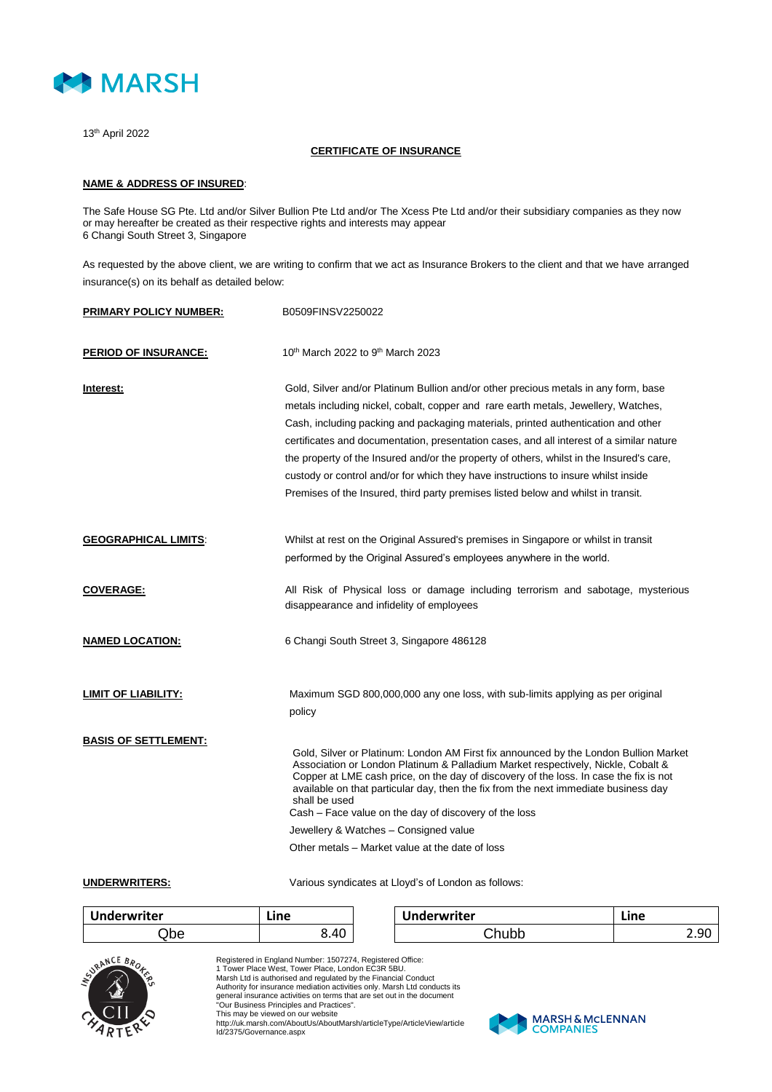

13th April 2022

## **CERTIFICATE OF INSURANCE**

## **NAME & ADDRESS OF INSURED**:

The Safe House SG Pte. Ltd and/or Silver Bullion Pte Ltd and/or The Xcess Pte Ltd and/or their subsidiary companies as they now or may hereafter be created as their respective rights and interests may appear 6 Changi South Street 3, Singapore

As requested by the above client, we are writing to confirm that we act as Insurance Brokers to the client and that we have arranged insurance(s) on its behalf as detailed below:

| <b>PRIMARY POLICY NUMBER:</b> | B0509FINSV2250022<br>10 <sup>th</sup> March 2022 to 9 <sup>th</sup> March 2023                                                                                                                                                                                                                                                                                                                                                                                                                                                                                                                                                    |  |  |  |
|-------------------------------|-----------------------------------------------------------------------------------------------------------------------------------------------------------------------------------------------------------------------------------------------------------------------------------------------------------------------------------------------------------------------------------------------------------------------------------------------------------------------------------------------------------------------------------------------------------------------------------------------------------------------------------|--|--|--|
| <u>PERIOD OF INSURANCE:</u>   |                                                                                                                                                                                                                                                                                                                                                                                                                                                                                                                                                                                                                                   |  |  |  |
| <u>Interest:</u>              | Gold, Silver and/or Platinum Bullion and/or other precious metals in any form, base<br>metals including nickel, cobalt, copper and rare earth metals, Jewellery, Watches,<br>Cash, including packing and packaging materials, printed authentication and other<br>certificates and documentation, presentation cases, and all interest of a similar nature<br>the property of the Insured and/or the property of others, whilst in the Insured's care,<br>custody or control and/or for which they have instructions to insure whilst inside<br>Premises of the Insured, third party premises listed below and whilst in transit. |  |  |  |
| <b>GEOGRAPHICAL LIMITS:</b>   | Whilst at rest on the Original Assured's premises in Singapore or whilst in transit<br>performed by the Original Assured's employees anywhere in the world.                                                                                                                                                                                                                                                                                                                                                                                                                                                                       |  |  |  |
| <b>COVERAGE:</b>              | All Risk of Physical loss or damage including terrorism and sabotage, mysterious<br>disappearance and infidelity of employees                                                                                                                                                                                                                                                                                                                                                                                                                                                                                                     |  |  |  |
| <b>NAMED LOCATION:</b>        | 6 Changi South Street 3, Singapore 486128                                                                                                                                                                                                                                                                                                                                                                                                                                                                                                                                                                                         |  |  |  |
| LIMIT OF LIABILITY:           | Maximum SGD 800,000,000 any one loss, with sub-limits applying as per original<br>policy                                                                                                                                                                                                                                                                                                                                                                                                                                                                                                                                          |  |  |  |
| <b>BASIS OF SETTLEMENT:</b>   | Gold, Silver or Platinum: London AM First fix announced by the London Bullion Market<br>Association or London Platinum & Palladium Market respectively, Nickle, Cobalt &<br>Copper at LME cash price, on the day of discovery of the loss. In case the fix is not<br>available on that particular day, then the fix from the next immediate business day<br>shall be used<br>Cash – Face value on the day of discovery of the loss<br>Jewellery & Watches - Consigned value<br>Other metals – Market value at the date of loss                                                                                                    |  |  |  |
| <b>UNDERWRITERS:</b>          | Various syndicates at Lloyd's of London as follows:                                                                                                                                                                                                                                                                                                                                                                                                                                                                                                                                                                               |  |  |  |

| <b>Underwriter</b> | Line | <b>Underwriter</b> | Line |
|--------------------|------|--------------------|------|
| Jpe                | 8.40 | <b>`hubb</b>       | 2.90 |



Registered in England Number: 1507274, Registered Office: 1 Tower Place West, Tower Place, London EC3R 5BU.

Marsh Ltd is authorised and regulated by the Financial Conduct<br>Authority for insurance mediation activities only. Marsh Ltd conducts its<br>general insurance activities on terms that are set out in the document<br>"Our Business

This may be viewed on our website http://uk.marsh.com/AboutUs/AboutMarsh/articleType/ArticleView/article Id/2375/Governance.aspx